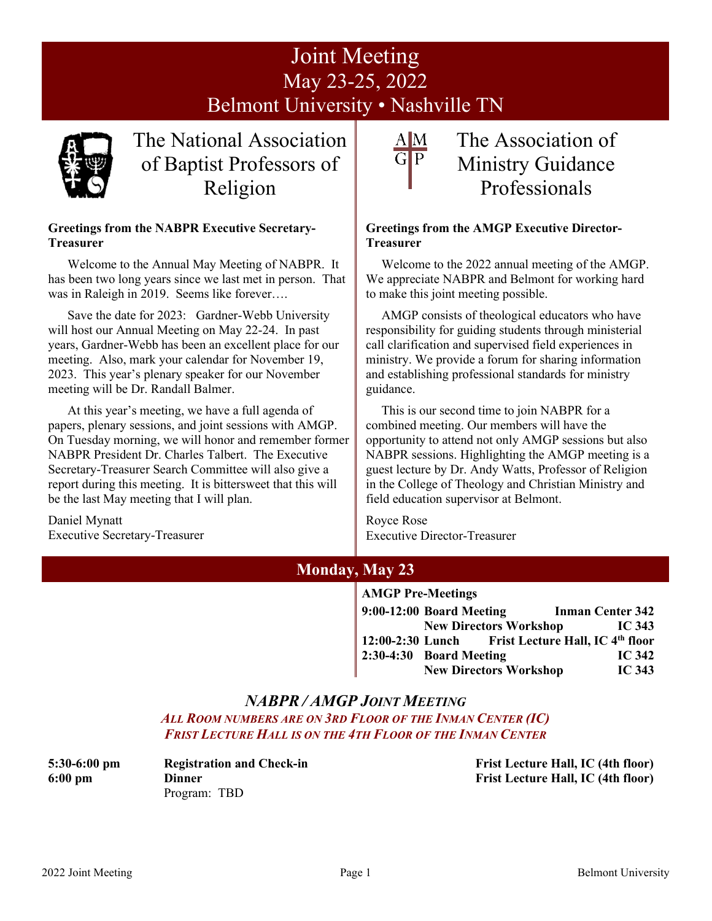# Joint Meeting May 23-25, 2022 Belmont University • Nashville TN



The National Association of Baptist Professors of Religion

#### **Greetings from the NABPR Executive Secretary-Treasurer**

Welcome to the Annual May Meeting of NABPR. It has been two long years since we last met in person. That was in Raleigh in 2019. Seems like forever….

Save the date for 2023: Gardner-Webb University will host our Annual Meeting on May 22-24. In past years, Gardner-Webb has been an excellent place for our meeting. Also, mark your calendar for November 19, 2023. This year's plenary speaker for our November meeting will be Dr. Randall Balmer.

At this year's meeting, we have a full agenda of papers, plenary sessions, and joint sessions with AMGP. On Tuesday morning, we will honor and remember former NABPR President Dr. Charles Talbert. The Executive Secretary-Treasurer Search Committee will also give a report during this meeting. It is bittersweet that this will be the last May meeting that I will plan.

Daniel Mynatt Executive Secretary-Treasurer

# $A|M$

## The Association of Ministry Guidance Professionals

#### **Greetings from the AMGP Executive Director-Treasurer**

Welcome to the 2022 annual meeting of the AMGP. We appreciate NABPR and Belmont for working hard to make this joint meeting possible.

AMGP consists of theological educators who have responsibility for guiding students through ministerial call clarification and supervised field experiences in ministry. We provide a forum for sharing information and establishing professional standards for ministry guidance.

This is our second time to join NABPR for a combined meeting. Our members will have the opportunity to attend not only AMGP sessions but also NABPR sessions. Highlighting the AMGP meeting is a guest lecture by Dr. Andy Watts, Professor of Religion in the College of Theology and Christian Ministry and field education supervisor at Belmont.

Royce Rose Executive Director-Treasurer

## **Monday, May 23**

#### **AMGP Pre-Meetings**

| $9:00-12:00$ Board Meeting    | <b>Inman Center 342</b>                           |                   |
|-------------------------------|---------------------------------------------------|-------------------|
| <b>New Directors Workshop</b> |                                                   | IC $343$          |
|                               | 12:00-2:30 Lunch Frist Lecture Hall, IC 4th floor |                   |
| $2:30-4:30$ Board Meeting     |                                                   | IC $342$          |
| <b>New Directors Workshop</b> |                                                   | IC <sub>343</sub> |

## *NABPR / AMGP JOINT MEETING*

*ALL ROOM NUMBERS ARE ON 3RD FLOOR OF THE INMAN CENTER (IC) FRIST LECTURE HALL IS ON THE 4TH FLOOR OF THE INMAN CENTER*

Program: TBD

**5:30-6:00 pm Registration and Check-in Frist Lecture Hall, IC (4th floor) 6:00 pm Dinner Frist Lecture Hall, IC (4th floor)**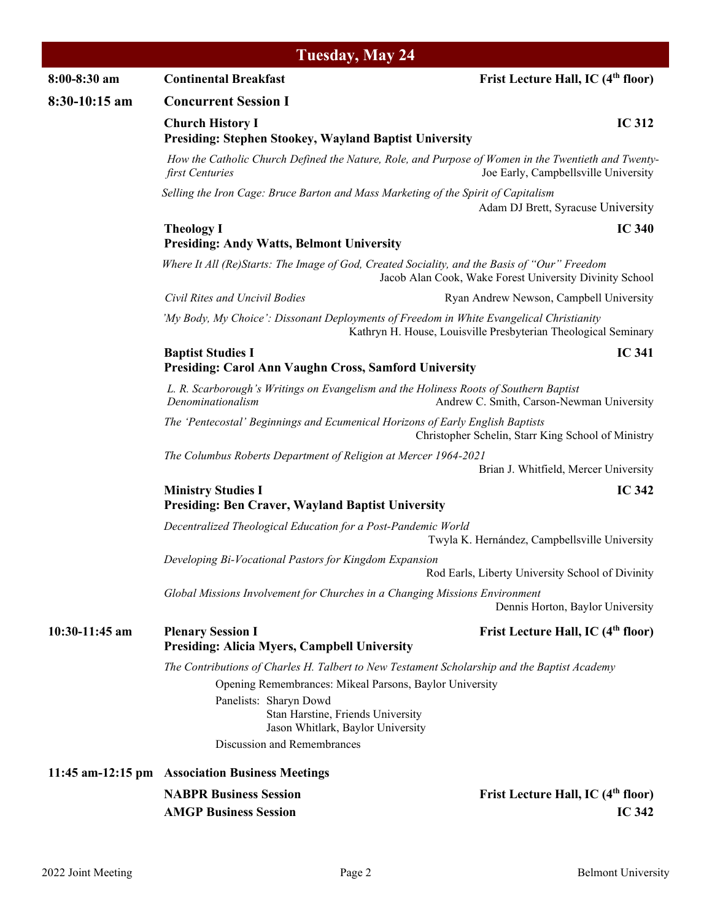| Tuesday, May 24  |                                                                                                                                                                                                                                                                                            |                                                                 |  |  |  |
|------------------|--------------------------------------------------------------------------------------------------------------------------------------------------------------------------------------------------------------------------------------------------------------------------------------------|-----------------------------------------------------------------|--|--|--|
| 8:00-8:30 am     | <b>Continental Breakfast</b>                                                                                                                                                                                                                                                               | Frist Lecture Hall, IC (4 <sup>th</sup> floor)                  |  |  |  |
| 8:30-10:15 am    | <b>Concurrent Session I</b>                                                                                                                                                                                                                                                                |                                                                 |  |  |  |
|                  | <b>Church History I</b><br><b>Presiding: Stephen Stookey, Wayland Baptist University</b>                                                                                                                                                                                                   | <b>IC 312</b>                                                   |  |  |  |
|                  | How the Catholic Church Defined the Nature, Role, and Purpose of Women in the Twentieth and Twenty-<br>first Centuries                                                                                                                                                                     | Joe Early, Campbellsville University                            |  |  |  |
|                  | Selling the Iron Cage: Bruce Barton and Mass Marketing of the Spirit of Capitalism                                                                                                                                                                                                         | Adam DJ Brett, Syracuse University                              |  |  |  |
|                  | <b>Theology I</b><br><b>Presiding: Andy Watts, Belmont University</b>                                                                                                                                                                                                                      | <b>IC 340</b>                                                   |  |  |  |
|                  | Where It All (Re)Starts: The Image of God, Created Sociality, and the Basis of "Our" Freedom                                                                                                                                                                                               | Jacob Alan Cook, Wake Forest University Divinity School         |  |  |  |
|                  | Civil Rites and Uncivil Bodies                                                                                                                                                                                                                                                             | Ryan Andrew Newson, Campbell University                         |  |  |  |
|                  | 'My Body, My Choice': Dissonant Deployments of Freedom in White Evangelical Christianity                                                                                                                                                                                                   | Kathryn H. House, Louisville Presbyterian Theological Seminary  |  |  |  |
|                  | <b>Baptist Studies I</b><br>Presiding: Carol Ann Vaughn Cross, Samford University                                                                                                                                                                                                          | <b>IC 341</b>                                                   |  |  |  |
|                  | L. R. Scarborough's Writings on Evangelism and the Holiness Roots of Southern Baptist<br>Denominationalism                                                                                                                                                                                 | Andrew C. Smith, Carson-Newman University                       |  |  |  |
|                  | The 'Pentecostal' Beginnings and Ecumenical Horizons of Early English Baptists                                                                                                                                                                                                             | Christopher Schelin, Starr King School of Ministry              |  |  |  |
|                  | The Columbus Roberts Department of Religion at Mercer 1964-2021                                                                                                                                                                                                                            | Brian J. Whitfield, Mercer University                           |  |  |  |
|                  | <b>Ministry Studies I</b><br><b>Presiding: Ben Craver, Wayland Baptist University</b>                                                                                                                                                                                                      | <b>IC 342</b>                                                   |  |  |  |
|                  | Decentralized Theological Education for a Post-Pandemic World                                                                                                                                                                                                                              | Twyla K. Hernández, Campbellsville University                   |  |  |  |
|                  | Developing Bi-Vocational Pastors for Kingdom Expansion                                                                                                                                                                                                                                     | Rod Earls, Liberty University School of Divinity                |  |  |  |
|                  | Global Missions Involvement for Churches in a Changing Missions Environment                                                                                                                                                                                                                | Dennis Horton, Baylor University                                |  |  |  |
| $10:30-11:45$ am | <b>Plenary Session I</b><br><b>Presiding: Alicia Myers, Campbell University</b>                                                                                                                                                                                                            | Frist Lecture Hall, IC (4 <sup>th</sup> floor)                  |  |  |  |
|                  | The Contributions of Charles H. Talbert to New Testament Scholarship and the Baptist Academy<br>Opening Remembrances: Mikeal Parsons, Baylor University<br>Panelists: Sharyn Dowd<br>Stan Harstine, Friends University<br>Jason Whitlark, Baylor University<br>Discussion and Remembrances |                                                                 |  |  |  |
|                  | 11:45 am-12:15 pm Association Business Meetings                                                                                                                                                                                                                                            |                                                                 |  |  |  |
|                  | <b>NABPR Business Session</b><br><b>AMGP Business Session</b>                                                                                                                                                                                                                              | Frist Lecture Hall, IC (4 <sup>th</sup> floor)<br><b>IC 342</b> |  |  |  |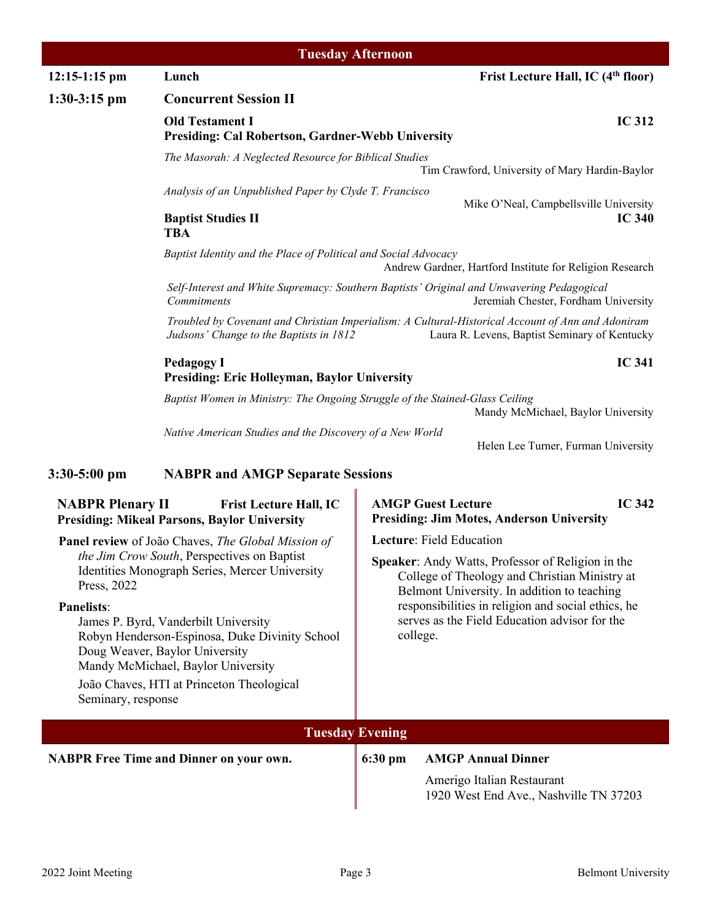|                                                                                                                                                                                     |                                                                                                                                                                                                                                                                                            | <b>Tuesday Afternoon</b>                                                                                                                                       |                                                                                                |  |  |  |
|-------------------------------------------------------------------------------------------------------------------------------------------------------------------------------------|--------------------------------------------------------------------------------------------------------------------------------------------------------------------------------------------------------------------------------------------------------------------------------------------|----------------------------------------------------------------------------------------------------------------------------------------------------------------|------------------------------------------------------------------------------------------------|--|--|--|
| $12:15-1:15$ pm                                                                                                                                                                     | Frist Lecture Hall, IC (4 <sup>th</sup> floor)<br>Lunch                                                                                                                                                                                                                                    |                                                                                                                                                                |                                                                                                |  |  |  |
| $1:30-3:15$ pm                                                                                                                                                                      | <b>Concurrent Session II</b>                                                                                                                                                                                                                                                               |                                                                                                                                                                |                                                                                                |  |  |  |
|                                                                                                                                                                                     | <b>IC 312</b><br><b>Old Testament I</b><br><b>Presiding: Cal Robertson, Gardner-Webb University</b>                                                                                                                                                                                        |                                                                                                                                                                |                                                                                                |  |  |  |
|                                                                                                                                                                                     | The Masorah: A Neglected Resource for Biblical Studies                                                                                                                                                                                                                                     |                                                                                                                                                                |                                                                                                |  |  |  |
|                                                                                                                                                                                     | Tim Crawford, University of Mary Hardin-Baylor<br>Analysis of an Unpublished Paper by Clyde T. Francisco                                                                                                                                                                                   |                                                                                                                                                                |                                                                                                |  |  |  |
|                                                                                                                                                                                     |                                                                                                                                                                                                                                                                                            |                                                                                                                                                                | Mike O'Neal, Campbellsville University                                                         |  |  |  |
|                                                                                                                                                                                     | <b>Baptist Studies II</b><br><b>TBA</b>                                                                                                                                                                                                                                                    |                                                                                                                                                                | <b>IC 340</b>                                                                                  |  |  |  |
| Baptist Identity and the Place of Political and Social Advocacy<br>Andrew Gardner, Hartford Institute for Religion Research                                                         |                                                                                                                                                                                                                                                                                            |                                                                                                                                                                |                                                                                                |  |  |  |
|                                                                                                                                                                                     | Self-Interest and White Supremacy: Southern Baptists' Original and Unwavering Pedagogical<br><b>Commitments</b><br>Jeremiah Chester, Fordham University                                                                                                                                    |                                                                                                                                                                |                                                                                                |  |  |  |
|                                                                                                                                                                                     | Troubled by Covenant and Christian Imperialism: A Cultural-Historical Account of Ann and Adoniram<br>Judsons' Change to the Baptists in 1812<br>Laura R. Levens, Baptist Seminary of Kentucky<br><b>IC 341</b><br><b>Pedagogy I</b><br><b>Presiding: Eric Holleyman, Baylor University</b> |                                                                                                                                                                |                                                                                                |  |  |  |
|                                                                                                                                                                                     |                                                                                                                                                                                                                                                                                            |                                                                                                                                                                |                                                                                                |  |  |  |
|                                                                                                                                                                                     | Baptist Women in Ministry: The Ongoing Struggle of the Stained-Glass Ceiling<br>Mandy McMichael, Baylor University                                                                                                                                                                         |                                                                                                                                                                |                                                                                                |  |  |  |
|                                                                                                                                                                                     | Native American Studies and the Discovery of a New World                                                                                                                                                                                                                                   |                                                                                                                                                                | Helen Lee Turner, Furman University                                                            |  |  |  |
| $3:30-5:00$ pm                                                                                                                                                                      | <b>NABPR and AMGP Separate Sessions</b>                                                                                                                                                                                                                                                    |                                                                                                                                                                |                                                                                                |  |  |  |
| <b>NABPR Plenary II</b>                                                                                                                                                             | <b>Frist Lecture Hall, IC</b><br><b>Presiding: Mikeal Parsons, Baylor University</b>                                                                                                                                                                                                       |                                                                                                                                                                | <b>IC 342</b><br><b>AMGP Guest Lecture</b><br><b>Presiding: Jim Motes, Anderson University</b> |  |  |  |
|                                                                                                                                                                                     | <b>Panel review</b> of João Chaves, <i>The Global Mission of</i>                                                                                                                                                                                                                           |                                                                                                                                                                | Lecture: Field Education                                                                       |  |  |  |
| Press, 2022                                                                                                                                                                         | the Jim Crow South, Perspectives on Baptist<br>Identities Monograph Series, Mercer University                                                                                                                                                                                              | <b>Speaker:</b> Andy Watts, Professor of Religion in the<br>College of Theology and Christian Ministry at                                                      |                                                                                                |  |  |  |
| <b>Panelists:</b><br>James P. Byrd, Vanderbilt University<br>Robyn Henderson-Espinosa, Duke Divinity School<br>Doug Weaver, Baylor University<br>Mandy McMichael, Baylor University |                                                                                                                                                                                                                                                                                            | Belmont University. In addition to teaching<br>responsibilities in religion and social ethics, he<br>serves as the Field Education advisor for the<br>college. |                                                                                                |  |  |  |
| Seminary, response                                                                                                                                                                  | João Chaves, HTI at Princeton Theological                                                                                                                                                                                                                                                  |                                                                                                                                                                |                                                                                                |  |  |  |
|                                                                                                                                                                                     |                                                                                                                                                                                                                                                                                            | <b>Tuesday Evening</b>                                                                                                                                         |                                                                                                |  |  |  |
|                                                                                                                                                                                     | <b>NABPR Free Time and Dinner on your own.</b>                                                                                                                                                                                                                                             | 6:30 pm                                                                                                                                                        | <b>AMGP Annual Dinner</b>                                                                      |  |  |  |
|                                                                                                                                                                                     |                                                                                                                                                                                                                                                                                            |                                                                                                                                                                | Amerigo Italian Restaurant<br>1920 West End Ave., Nashville TN 37203                           |  |  |  |